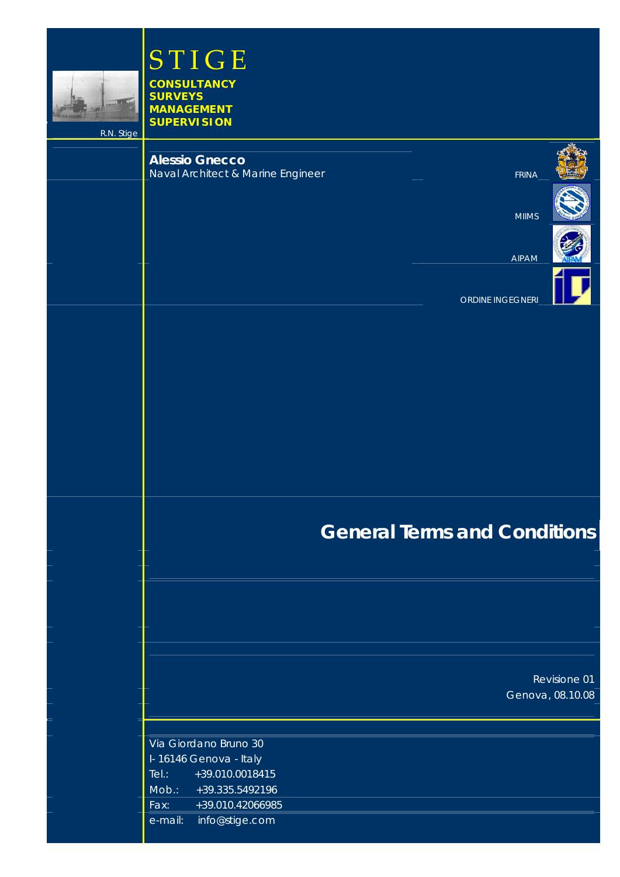

STIGE **CONSULTANCY SURVEYS** 

**MANAGEMENT SUPERVISION** 

R.N. Stige i<br>I

# **Alessio Gnecco**

Naval Architect & Marine Engineer FRINA

MIIMS

AIPAM



ORDINE INGEGNERI

# **General Terms and Conditions**

Revisione 01 Genova, 08.10.08

| Via Giordano Bruno 30  |                        |
|------------------------|------------------------|
| I-16146 Genova - Italy |                        |
| Tel:                   | $+39.010.0018415$      |
| Mob.:                  | +39.335.5492196        |
| Fax:                   | +39.010.42066985       |
|                        | e-mail: info@stige.com |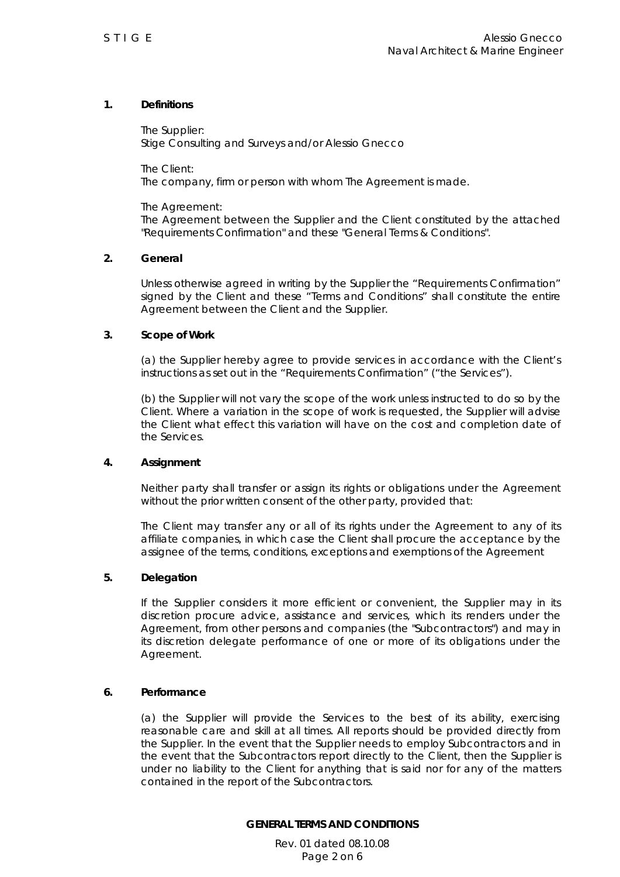# **1. Definitions**

*The Supplier:*  Stige Consulting and Surveys and/or Alessio Gnecco

*The Client:* 

The company, firm or person with whom The Agreement is made.

*The Agreement:* 

The Agreement between the Supplier and the Client constituted by the attached "Requirements Confirmation" and these "General Terms & Conditions".

# **2. General**

 Unless otherwise agreed in writing by the Supplier the "Requirements Confirmation" signed by the Client and these "Terms and Conditions" shall constitute the entire Agreement between the Client and the Supplier.

#### **3. Scope of Work**

 (a) the Supplier hereby agree to provide services in accordance with the Client's instructions as set out in the "Requirements Confirmation" ("the Services").

 (b) the Supplier will not vary the scope of the work unless instructed to do so by the Client. Where a variation in the scope of work is requested, the Supplier will advise the Client what effect this variation will have on the cost and completion date of the Services.

#### **4. Assignment**

 Neither party shall transfer or assign its rights or obligations under the Agreement without the prior written consent of the other party, provided that:

 The Client may transfer any or all of its rights under the Agreement to any of its affiliate companies, in which case the Client shall procure the acceptance by the assignee of the terms, conditions, exceptions and exemptions of the Agreement

#### **5. Delegation**

 If the Supplier considers it more efficient or convenient, the Supplier may in its discretion procure advice, assistance and services, which its renders under the Agreement, from other persons and companies (the "Subcontractors") and may in its discretion delegate performance of one or more of its obligations under the Agreement.

#### **6. Performance**

 (a) the Supplier will provide the Services to the best of its ability, exercising reasonable care and skill at all times. All reports should be provided directly from the Supplier. In the event that the Supplier needs to employ Subcontractors and in the event that the Subcontractors report directly to the Client, then the Supplier is under no liability to the Client for anything that is said nor for any of the matters contained in the report of the Subcontractors.

**GENERAL TERMS AND CONDITIONS** 

Rev. 01 dated 08.10.08 Page 2 on 6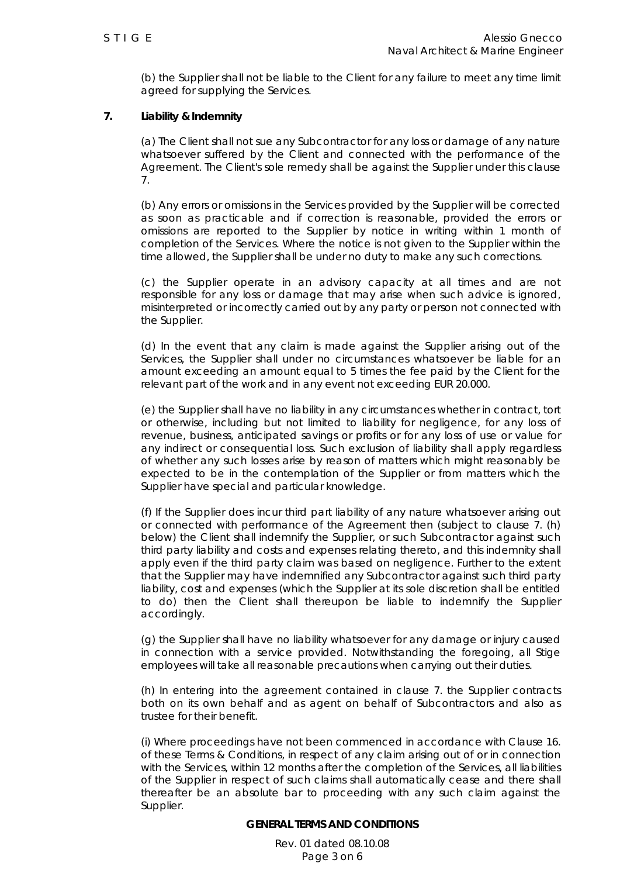(b) the Supplier shall not be liable to the Client for any failure to meet any time limit agreed for supplying the Services.

## **7. Liability & Indemnity**

 (a) The Client shall not sue any Subcontractor for any loss or damage of any nature whatsoever suffered by the Client and connected with the performance of the Agreement. The Client's sole remedy shall be against the Supplier under this clause 7.

 (b) Any errors or omissions in the Services provided by the Supplier will be corrected as soon as practicable and if correction is reasonable, provided the errors or omissions are reported to the Supplier by notice in writing within 1 month of completion of the Services. Where the notice is not given to the Supplier within the time allowed, the Supplier shall be under no duty to make any such corrections.

 (c) the Supplier operate in an advisory capacity at all times and are not responsible for any loss or damage that may arise when such advice is ignored, misinterpreted or incorrectly carried out by any party or person not connected with the Supplier.

 (d) In the event that any claim is made against the Supplier arising out of the Services, the Supplier shall under no circumstances whatsoever be liable for an amount exceeding an amount equal to 5 times the fee paid by the Client for the relevant part of the work and in any event not exceeding EUR 20.000.

 (e) the Supplier shall have no liability in any circumstances whether in contract, tort or otherwise, including but not limited to liability for negligence, for any loss of revenue, business, anticipated savings or profits or for any loss of use or value for any indirect or consequential loss. Such exclusion of liability shall apply regardless of whether any such losses arise by reason of matters which might reasonably be expected to be in the contemplation of the Supplier or from matters which the Supplier have special and particular knowledge.

 (f) If the Supplier does incur third part liability of any nature whatsoever arising out or connected with performance of the Agreement then (subject to clause 7. (h) below) the Client shall indemnify the Supplier, or such Subcontractor against such third party liability and costs and expenses relating thereto, and this indemnity shall apply even if the third party claim was based on negligence. Further to the extent that the Supplier may have indemnified any Subcontractor against such third party liability, cost and expenses (which the Supplier at its sole discretion shall be entitled to do) then the Client shall thereupon be liable to indemnify the Supplier accordingly.

 (g) the Supplier shall have no liability whatsoever for any damage or injury caused in connection with a service provided. Notwithstanding the foregoing, all Stige employees will take all reasonable precautions when carrying out their duties.

 (h) In entering into the agreement contained in clause 7. the Supplier contracts both on its own behalf and as agent on behalf of Subcontractors and also as trustee for their benefit.

 (i) Where proceedings have not been commenced in accordance with Clause 16. of these Terms & Conditions, in respect of any claim arising out of or in connection with the Services, within 12 months after the completion of the Services, all liabilities of the Supplier in respect of such claims shall automatically cease and there shall thereafter be an absolute bar to proceeding with any such claim against the Supplier.

#### **GENERAL TERMS AND CONDITIONS**

Rev. 01 dated 08.10.08 Page 3 on 6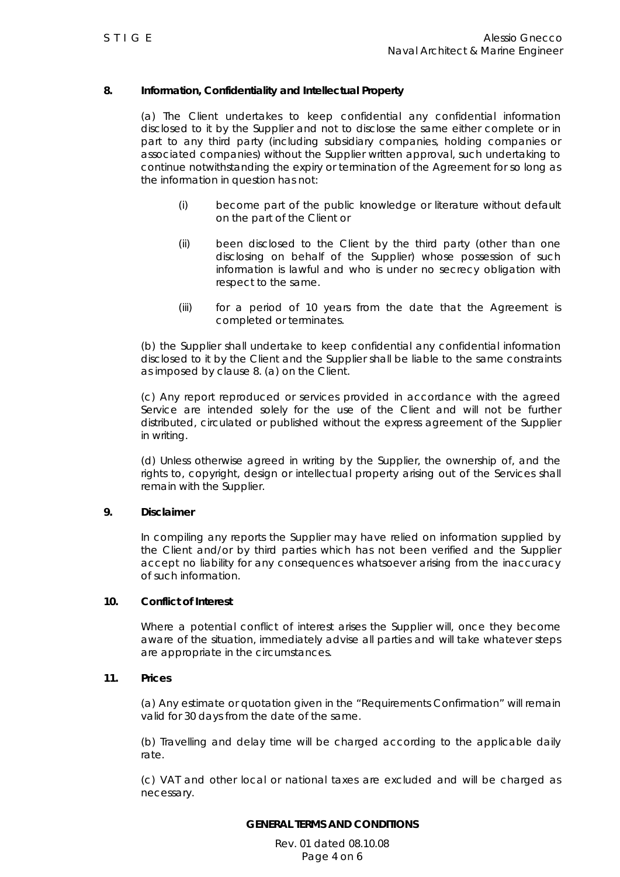# **8. Information, Confidentiality and Intellectual Property**

 (a) The Client undertakes to keep confidential any confidential information disclosed to it by the Supplier and not to disclose the same either complete or in part to any third party (including subsidiary companies, holding companies or associated companies) without the Supplier written approval, such undertaking to continue notwithstanding the expiry or termination of the Agreement for so long as the information in question has not:

- (i) become part of the public knowledge or literature without default on the part of the Client or
- (ii) been disclosed to the Client by the third party (other than one disclosing on behalf of the Supplier) whose possession of such information is lawful and who is under no secrecy obligation with respect to the same.
- (iii) for a period of 10 years from the date that the Agreement is completed or terminates.

 (b) the Supplier shall undertake to keep confidential any confidential information disclosed to it by the Client and the Supplier shall be liable to the same constraints as imposed by clause 8. (a) on the Client.

 (c) Any report reproduced or services provided in accordance with the agreed Service are intended solely for the use of the Client and will not be further distributed, circulated or published without the express agreement of the Supplier in writing.

 (d) Unless otherwise agreed in writing by the Supplier, the ownership of, and the rights to, copyright, design or intellectual property arising out of the Services shall remain with the Supplier.

#### **9. Disclaimer**

 In compiling any reports the Supplier may have relied on information supplied by the Client and/or by third parties which has not been verified and the Supplier accept no liability for any consequences whatsoever arising from the inaccuracy of such information.

### **10. Conflict of Interest**

 Where a potential conflict of interest arises the Supplier will, once they become aware of the situation, immediately advise all parties and will take whatever steps are appropriate in the circumstances.

#### **11. Prices**

 (a) Any estimate or quotation given in the "Requirements Confirmation" will remain valid for 30 days from the date of the same.

 (b) Travelling and delay time will be charged according to the applicable daily rate.

 (c) VAT and other local or national taxes are excluded and will be charged as necessary.

#### **GENERAL TERMS AND CONDITIONS**

Rev. 01 dated 08.10.08 Page 4 on 6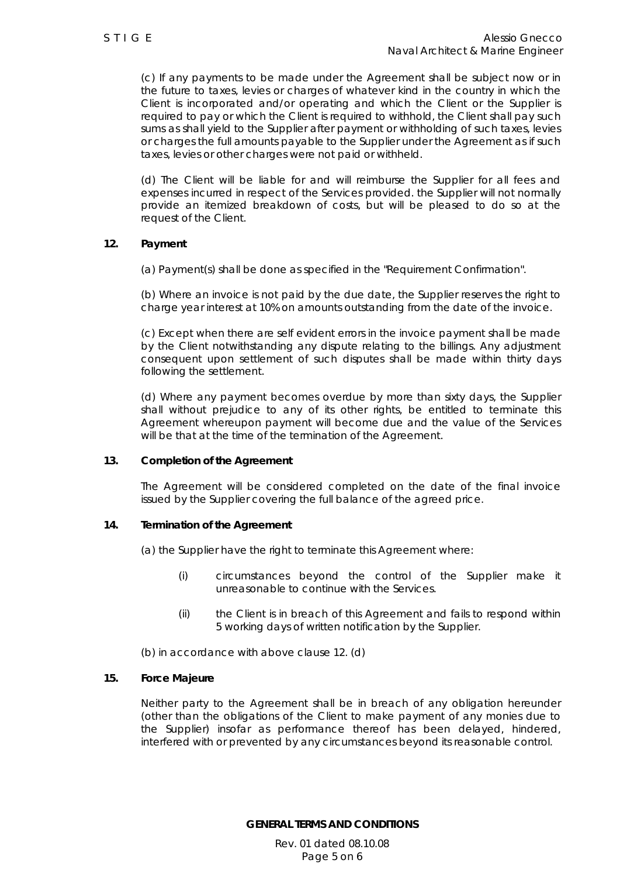(c) If any payments to be made under the Agreement shall be subject now or in the future to taxes, levies or charges of whatever kind in the country in which the Client is incorporated and/or operating and which the Client or the Supplier is required to pay or which the Client is required to withhold, the Client shall pay such sums as shall yield to the Supplier after payment or withholding of such taxes, levies or charges the full amounts payable to the Supplier under the Agreement as if such taxes, levies or other charges were not paid or withheld.

 (d) The Client will be liable for and will reimburse the Supplier for all fees and expenses incurred in respect of the Services provided. the Supplier will not normally provide an itemized breakdown of costs, but will be pleased to do so at the request of the Client.

#### **12. Payment**

(a) Payment(s) shall be done as specified in the "Requirement Confirmation".

 (b) Where an invoice is not paid by the due date, the Supplier reserves the right to charge year interest at 10% on amounts outstanding from the date of the invoice.

 (c) Except when there are self evident errors in the invoice payment shall be made by the Client notwithstanding any dispute relating to the billings. Any adjustment consequent upon settlement of such disputes shall be made within thirty days following the settlement.

 (d) Where any payment becomes overdue by more than sixty days, the Supplier shall without prejudice to any of its other rights, be entitled to terminate this Agreement whereupon payment will become due and the value of the Services will be that at the time of the termination of the Agreement.

## **13. Completion of the Agreement**

 The Agreement will be considered completed on the date of the final invoice issued by the Supplier covering the full balance of the agreed price.

#### **14. Termination of the Agreement**

(a) the Supplier have the right to terminate this Agreement where:

- (i) circumstances beyond the control of the Supplier make it unreasonable to continue with the Services.
- (ii) the Client is in breach of this Agreement and fails to respond within 5 working days of written notification by the Supplier.

(b) in accordance with above clause 12. (d)

#### **15. Force Majeure**

 Neither party to the Agreement shall be in breach of any obligation hereunder (other than the obligations of the Client to make payment of any monies due to the Supplier) insofar as performance thereof has been delayed, hindered, interfered with or prevented by any circumstances beyond its reasonable control.

**GENERAL TERMS AND CONDITIONS** 

Rev. 01 dated 08.10.08 Page 5 on 6